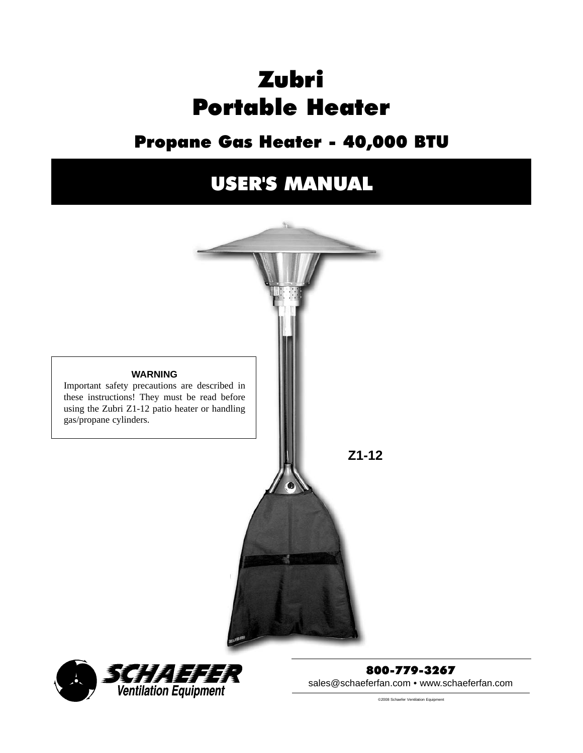# Zubri Portable Heater

# [Propane Gas Heater - 40,000 BTU](http://www.rewci.com/zubri-portable-patio-heater.html)

# USER'S MANUAL





800-779-3267 sales@schaeferfan.com • www.schaeferfan.com

©2008 Schaefer Ventilation Equipment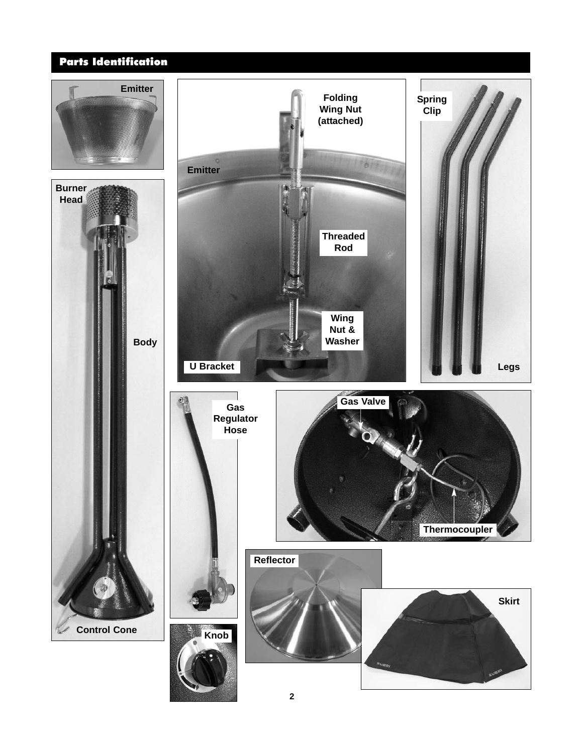# [Parts Identification](http://www.rewci.com/zubri-portable-patio-heater.html)

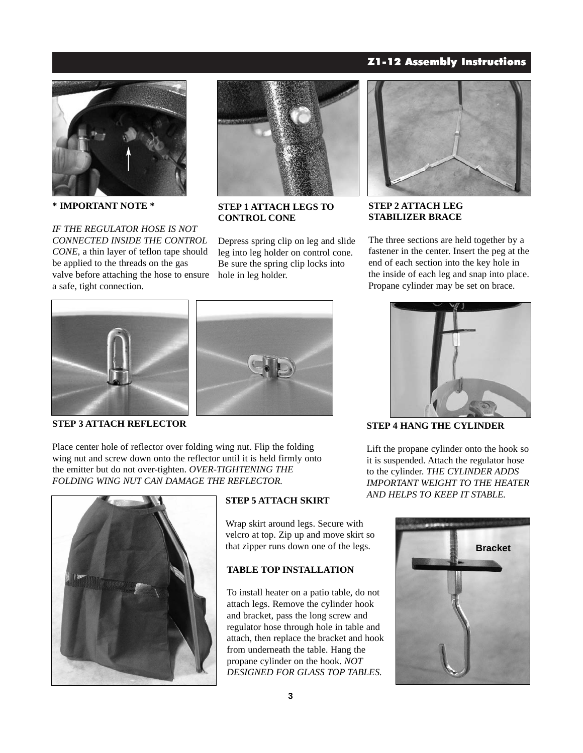## Z1-12 Assembly Instructions



**\* IMPORTANT NOTE \***

*IF THE REGULATOR HOSE IS NOT CONNECTED INSIDE THE CONTROL CONE*, a thin layer of teflon tape should be applied to the threads on the gas valve before attaching the hose to ensure a safe, tight connection.



**STEP 1 ATTACH LEGS TO CONTROL CONE**

Depress spring clip on leg and slide leg into leg holder on control cone. Be sure the spring clip locks into hole in leg holder.



**STEP 2 ATTACH LEG STABILIZER BRACE**

The three sections are held together by a fastener in the center. Insert the peg at the end of each section into the key hole in the inside of each leg and snap into place. Propane cylinder may be set on brace.



**STEP 3 ATTACH REFLECTOR**

Place center hole of reflector over folding wing nut. Flip the folding [wing nut and screw down onto the reflector until it is held firmly onto](http://www.rewci.com/zubri-portable-patio-heater.html) the emitter but do not over-tighten. *OVER-TIGHTENING THE FOLDING WING NUT CAN DAMAGE THE REFLECTOR.*



#### **STEP 5 ATTACH SKIRT**

Wrap skirt around legs. Secure with velcro at top. Zip up and move skirt so that zipper runs down one of the legs.

## **TABLE TOP INSTALLATION**

To install heater on a patio table, do not attach legs. Remove the cylinder hook and bracket, pass the long screw and regulator hose through hole in table and attach, then replace the bracket and hook from underneath the table. Hang the propane cylinder on the hook. *NOT DESIGNED FOR GLASS TOP TABLES.*



**STEP 4 HANG THE CYLINDER**

Lift the propane cylinder onto the hook so it is suspended. Attach the regulator hose to the cylinder. *THE CYLINDER ADDS IMPORTANT WEIGHT TO THE HEATER AND HELPS TO KEEP IT STABLE.*

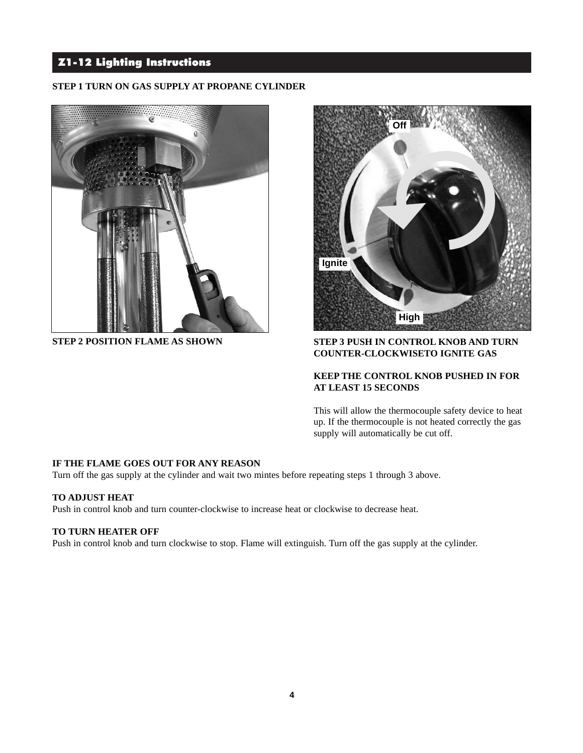# Z1-12 Lighting Instructions

#### **STEP 1 TURN ON GAS SUPPLY AT PROPANE CYLINDER**





### **STEP 2 POSITION FLAME AS SHOWN STEP 3 PUSH IN CONTROL KNOB AND TURN COUNTER-CLOCKWISETO IGNITE GAS**

## **KEEP THE CONTROL KNOB PUSHED IN FOR AT LEAST 15 SECONDS**

This will allow the thermocouple safety device to heat up. If the thermocouple is not heated correctly the gas supply will automatically be cut off.

### **IF THE FLAME GOES OUT FOR ANY REASON**

Turn off the gas supply at the cylinder and wait two mintes before repeating steps 1 through 3 above.

### **TO ADJUST HEAT**

Push in control knob and turn counter-clockwise to increase heat or clockwise to decrease heat.

#### **TO TURN HEATER OFF**

Push in control knob and turn clockwise to stop. Flame will extinguish. Turn off the gas supply at the cylinder.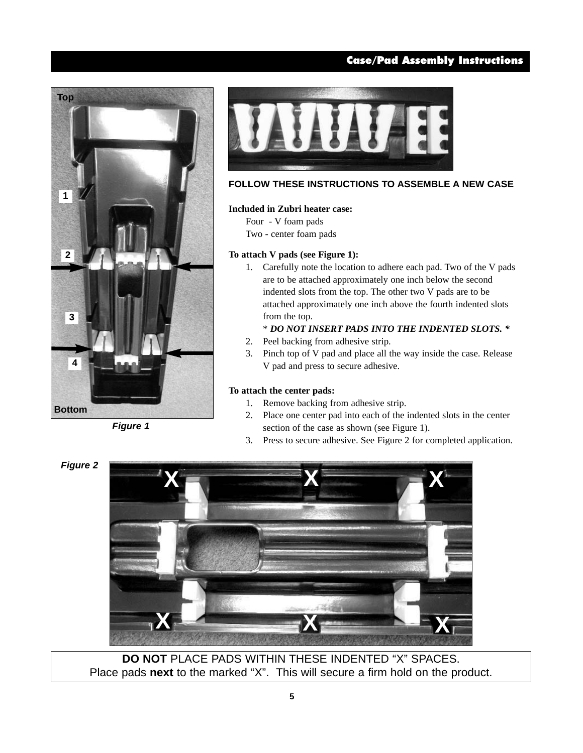# Case/Pad Assembly Instructions



*Figure 1*



## **FOLLOW THESE INSTRUCTIONS TO ASSEMBLE A NEW CASE**

#### **Included in Zubri heater case:**

Four - V foam pads Two - center foam pads

#### **To attach V pads (see Figure 1):**

1. Carefully note the location to adhere each pad. Two of the V pads are to be attached approximately one inch below the second indented slots from the top. The other two V pads are to be attached approximately one inch above the fourth indented slots from the top.

# \* *DO NOT INSERT PADS INTO THE INDENTED SLOTS. \**

- 2. Peel backing from adhesive strip.
- 3. Pinch top of V pad and place all the way inside the case. Release V pad and press to secure adhesive.

#### **To attach the center pads:**

- 1. Remove backing from adhesive strip.
- 2. Place one center pad into each of the indented slots in the center section of the case as shown (see Figure 1).
- 3. Press to secure adhesive. See Figure 2 for completed application.

*Figure 2*



**DO NOT** PLACE PADS WITHIN THESE INDENTED "X" SPACES. Place pads **next** [to the marked "X". This will secure a firm hold on the product.](http://www.rewci.com/zubri-portable-patio-heater.html)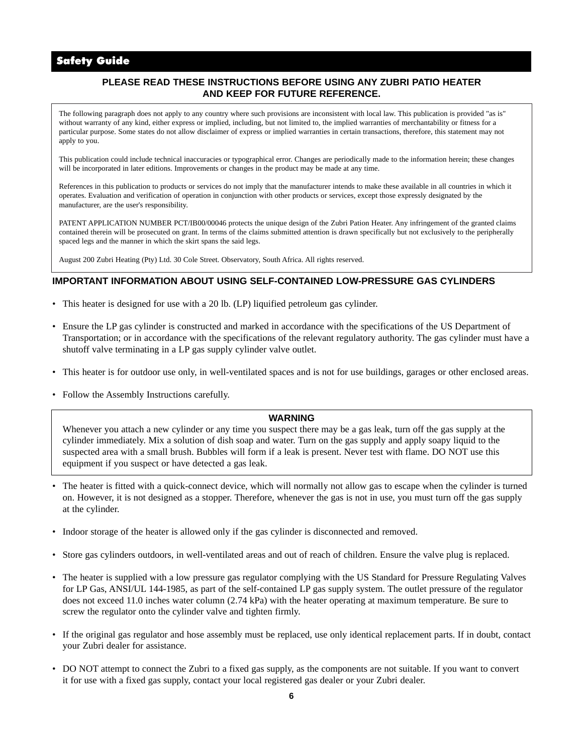# Safety Guide

### **PLEASE READ THESE INSTRUCTIONS BEFORE USING ANY ZUBRI PATIO HEATER AND KEEP FOR FUTURE REFERENCE.**

The following paragraph does not apply to any country where such provisions are inconsistent with local law. This publication is provided "as is" without warranty of any kind, either express or implied, including, but not limited to, the implied warranties of merchantability or fitness for a particular purpose. Some states do not allow disclaimer of express or implied warranties in certain transactions, therefore, this statement may not apply to you.

This publication could include technical inaccuracies or typographical error. Changes are periodically made to the information herein; these changes will be incorporated in later editions. Improvements or changes in the product may be made at any time.

References in this publication to products or services do not imply that the manufacturer intends to make these available in all countries in which it operates. Evaluation and verification of operation in conjunction with other products or services, except those expressly designated by the manufacturer, are the user's responsibility.

PATENT APPLICATION NUMBER PCT/IB00/00046 protects the unique design of the Zubri Pation Heater. Any infringement of the granted claims contained therein will be prosecuted on grant. In terms of the claims submitted attention is drawn specifically but not exclusively to the peripherally spaced legs and the manner in which the skirt spans the said legs.

August 200 Zubri Heating (Pty) Ltd. 30 Cole Street. Observatory, South Africa. All rights reserved.

#### **IMPORTANT INFORMATION ABOUT USING SELF-CONTAINED LOW-PRESSURE GAS CYLINDERS**

- This heater is designed for use with a 20 lb. (LP) liquified petroleum gas cylinder.
- Ensure the LP gas cylinder is constructed and marked in accordance with the specifications of the US Department of Transportation; or in accordance with the specifications of the relevant regulatory authority. The gas cylinder must have a shutoff valve terminating in a LP gas supply cylinder valve outlet.
- This heater is for outdoor use only, in well-ventilated spaces and is not for use buildings, garages or other enclosed areas.
- Follow the Assembly Instructions carefully.

#### **WARNING**

Whenever you attach a new cylinder or any time you suspect there may be a gas leak, turn off the gas supply at the cylinder immediately. Mix a solution of dish soap and water. Turn on the gas supply and apply soapy liquid to the suspected area with a small brush. Bubbles will form if a leak is present. Never test with flame. DO NOT use this equipment if you suspect or have detected a gas leak.

- The heater is fitted with a quick-connect device, which will normally not allow gas to escape when the cylinder is turned on. However, it is not designed as a stopper. Therefore, whenever the gas is not in use, you must turn off the gas supply at the cylinder.
- Indoor storage of the heater is allowed only if the gas cylinder is disconnected and removed.
- Store gas cylinders outdoors, in well-ventilated areas and out of reach of children. Ensure the valve plug is replaced.
- The heater is supplied with a low pressure gas regulator complying with the US Standard for Pressure Regulating Valves for LP Gas, ANSI/UL 144-1985, as part of the self-contained LP gas supply system. The outlet pressure of the regulator does not exceed 11.0 inches water column (2.74 kPa) with the heater operating at maximum temperature. Be sure to screw the regulator onto the cylinder valve and tighten firmly.
- [If the original gas regulator and hose assembly must be replaced, use only identical replacement parts. If in doubt, contact](http://www.rewci.com/zubri-portable-patio-heater.html)  your Zubri dealer for assistance.
- DO NOT attempt to connect the Zubri to a fixed gas supply, as the components are not suitable. If you want to convert it for use with a fixed gas supply, contact your local registered gas dealer or your Zubri dealer.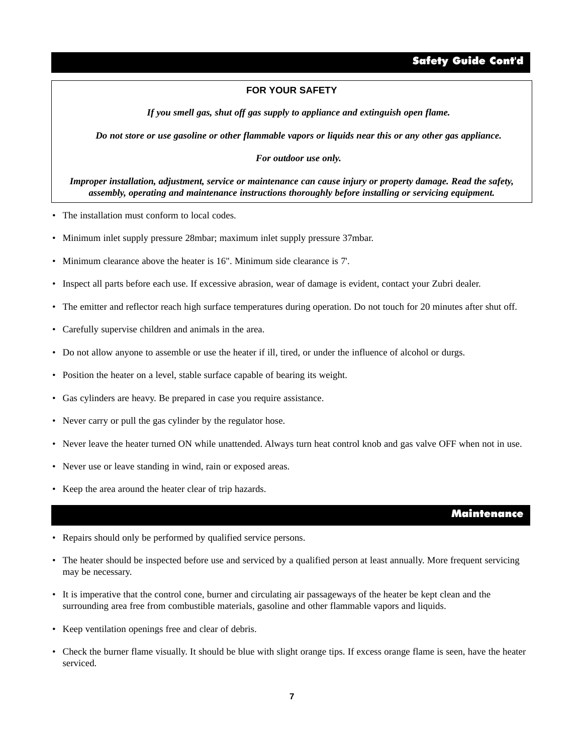# Safety Guide Cont'd

#### **FOR YOUR SAFETY**

*If you smell gas, shut off gas supply to appliance and extinguish open flame.*

*Do not store or use gasoline or other flammable vapors or liquids near this or any other gas appliance.*

#### *For outdoor use only.*

*Improper installation, adjustment, service or maintenance can cause injury or property damage. Read the safety, assembly, operating and maintenance instructions thoroughly before installing or servicing equipment.*

- The installation must conform to local codes.
- Minimum inlet supply pressure 28mbar; maximum inlet supply pressure 37mbar.
- Minimum clearance above the heater is 16". Minimum side clearance is 7'.
- Inspect all parts before each use. If excessive abrasion, wear of damage is evident, contact your Zubri dealer.
- The emitter and reflector reach high surface temperatures during operation. Do not touch for 20 minutes after shut off.
- Carefully supervise children and animals in the area.
- Do not allow anyone to assemble or use the heater if ill, tired, or under the influence of alcohol or durgs.
- Position the heater on a level, stable surface capable of bearing its weight.
- Gas cylinders are heavy. Be prepared in case you require assistance.
- Never carry or pull the gas cylinder by the regulator hose.
- Never leave the heater turned ON while unattended. Always turn heat control knob and gas valve OFF when not in use.
- Never use or leave standing in wind, rain or exposed areas.
- Keep the area around the heater clear of trip hazards.

#### Maintenance

- Repairs should only be performed by qualified service persons.
- The heater should be inspected before use and serviced by a qualified person at least annually. More frequent servicing may be necessary.
- It is imperative that the control cone, burner and circulating air passageways of the heater be kept clean and the surrounding area free from combustible materials, gasoline and other flammable vapors and liquids.
- Keep ventilation openings free and clear of debris.
- [Check the burner flame visually. It should be blue with slight orange tips. If excess orange flame is seen, have the heater](http://www.rewci.com/zubri-portable-patio-heater.html)  serviced.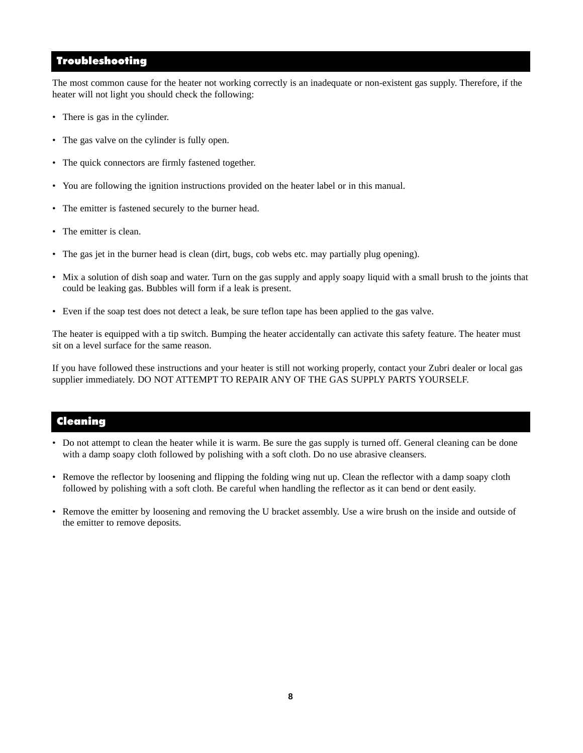# Troubleshooting

The most common cause for the heater not working correctly is an inadequate or non-existent gas supply. Therefore, if the heater will not light you should check the following:

- There is gas in the cylinder.
- The gas valve on the cylinder is fully open.
- The quick connectors are firmly fastened together.
- You are following the ignition instructions provided on the heater label or in this manual.
- The emitter is fastened securely to the burner head.
- The emitter is clean.
- The gas jet in the burner head is clean (dirt, bugs, cob webs etc. may partially plug opening).
- [Mix a solution of dish soap and water. Turn on the gas supply and apply soapy liquid with a small brush to the joints that](http://www.rewci.com/zubri-portable-patio-heater.html)  could be leaking gas. Bubbles will form if a leak is present.
- Even if the soap test does not detect a leak, be sure teflon tape has been applied to the gas valve.

The heater is equipped with a tip switch. Bumping the heater accidentally can activate this safety feature. The heater must sit on a level surface for the same reason.

If you have followed these instructions and your heater is still not working properly, contact your Zubri dealer or local gas supplier immediately. DO NOT ATTEMPT TO REPAIR ANY OF THE GAS SUPPLY PARTS YOURSELF.

# Cleaning

- Do not attempt to clean the heater while it is warm. Be sure the gas supply is turned off. General cleaning can be done with a damp soapy cloth followed by polishing with a soft cloth. Do no use abrasive cleansers.
- Remove the reflector by loosening and flipping the folding wing nut up. Clean the reflector with a damp soapy cloth followed by polishing with a soft cloth. Be careful when handling the reflector as it can bend or dent easily.
- Remove the emitter by loosening and removing the U bracket assembly. Use a wire brush on the inside and outside of the emitter to remove deposits.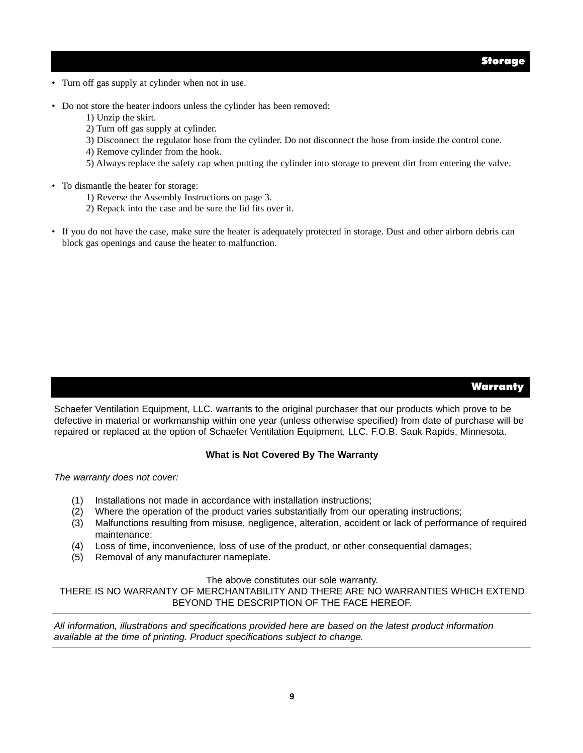- Turn off gas supply at cylinder when not in use.
- Do not store the heater indoors unless the cylinder has been removed:
	- 1) Unzip the skirt.
	- 2) Turn off gas supply at cylinder.
	- 3) Disconnect the regulator hose from the cylinder. Do not disconnect the hose from inside the control cone.
	- 4) Remove cylinder from the hook.
	- 5) Always replace the safety cap when putting the cylinder into storage to prevent dirt from entering the valve.
- To dismantle the heater for storage:
	- 1) Reverse the Assembly Instructions on page 3.
	- 2) Repack into the case and be sure the lid fits over it.
- If you do not have the case, make sure the heater is adequately protected in storage. Dust and other airborn debris can block gas openings and cause the heater to malfunction.

# **Warranty**

Schaefer Ventilation Equipment, LLC. warrants to the original purchaser that our products which prove to be [defective in material or workmanship within one year \(unless otherwise specified\) from date of purchase will be](http://www.rewci.com/zubri-portable-patio-heater.html) repaired or replaced at the option of Schaefer Ventilation Equipment, LLC. F.O.B. Sauk Rapids, Minnesota.

#### **What is Not Covered By The Warranty**

*The warranty does not cover:*

- (1) Installations not made in accordance with installation instructions;
- (2) Where the operation of the product varies substantially from our operating instructions;
- (3) Malfunctions resulting from misuse, negligence, alteration, accident or lack of performance of required maintenance;
- (4) Loss of time, inconvenience, loss of use of the product, or other consequential damages;
- (5) Removal of any manufacturer nameplate.

#### The above constitutes our sole warranty.

THERE IS NO WARRANTY OF MERCHANTABILITY AND THERE ARE NO WARRANTIES WHICH EXTEND BEYOND THE DESCRIPTION OF THE FACE HEREOF.

*All information, illustrations and specifications provided here are based on the latest product information available at the time of printing. Product specifications subject to change.*